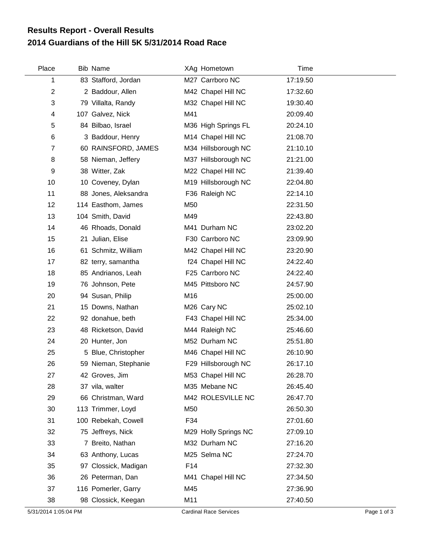## **2014 Guardians of the Hill 5K 5/31/2014 Road Race Results Report - Overall Results**

| Place          | Bib Name             |     | XAg Hometown         | <b>Time</b> |  |
|----------------|----------------------|-----|----------------------|-------------|--|
| 1              | 83 Stafford, Jordan  |     | M27 Carrboro NC      | 17:19.50    |  |
| $\overline{2}$ | 2 Baddour, Allen     |     | M42 Chapel Hill NC   | 17:32.60    |  |
| 3              | 79 Villalta, Randy   |     | M32 Chapel Hill NC   | 19:30.40    |  |
| 4              | 107 Galvez, Nick     | M41 |                      | 20:09.40    |  |
| 5              | 84 Bilbao, Israel    |     | M36 High Springs FL  | 20:24.10    |  |
| 6              | 3 Baddour, Henry     |     | M14 Chapel Hill NC   | 21:08.70    |  |
| $\overline{7}$ | 60 RAINSFORD, JAMES  |     | M34 Hillsborough NC  | 21:10.10    |  |
| 8              | 58 Nieman, Jeffery   |     | M37 Hillsborough NC  | 21:21.00    |  |
| 9              | 38 Witter, Zak       |     | M22 Chapel Hill NC   | 21:39.40    |  |
| 10             | 10 Coveney, Dylan    |     | M19 Hillsborough NC  | 22:04.80    |  |
| 11             | 88 Jones, Aleksandra |     | F36 Raleigh NC       | 22:14.10    |  |
| 12             | 114 Easthom, James   | M50 |                      | 22:31.50    |  |
| 13             | 104 Smith, David     | M49 |                      | 22:43.80    |  |
| 14             | 46 Rhoads, Donald    |     | M41 Durham NC        | 23:02.20    |  |
| 15             | 21 Julian, Elise     |     | F30 Carrboro NC      | 23:09.90    |  |
| 16             | 61 Schmitz, William  |     | M42 Chapel Hill NC   | 23:20.90    |  |
| 17             | 82 terry, samantha   |     | f24 Chapel Hill NC   | 24:22.40    |  |
| 18             | 85 Andrianos, Leah   |     | F25 Carrboro NC      | 24:22.40    |  |
| 19             | 76 Johnson, Pete     |     | M45 Pittsboro NC     | 24:57.90    |  |
| 20             | 94 Susan, Philip     | M16 |                      | 25:00.00    |  |
| 21             | 15 Downs, Nathan     |     | M26 Cary NC          | 25:02.10    |  |
| 22             | 92 donahue, beth     |     | F43 Chapel Hill NC   | 25:34.00    |  |
| 23             | 48 Ricketson, David  |     | M44 Raleigh NC       | 25:46.60    |  |
| 24             | 20 Hunter, Jon       |     | M52 Durham NC        | 25:51.80    |  |
| 25             | 5 Blue, Christopher  |     | M46 Chapel Hill NC   | 26:10.90    |  |
| 26             | 59 Nieman, Stephanie |     | F29 Hillsborough NC  | 26:17.10    |  |
| 27             | 42 Groves, Jim       |     | M53 Chapel Hill NC   | 26:28.70    |  |
| 28             | 37 vila, walter      |     | M35 Mebane NC        | 26:45.40    |  |
| 29             | 66 Christman, Ward   |     | M42 ROLESVILLE NC    | 26:47.70    |  |
| 30             | 113 Trimmer, Loyd    | M50 |                      | 26:50.30    |  |
| 31             | 100 Rebekah, Cowell  | F34 |                      | 27:01.60    |  |
| 32             | 75 Jeffreys, Nick    |     | M29 Holly Springs NC | 27:09.10    |  |
| 33             | 7 Breito, Nathan     |     | M32 Durham NC        | 27:16.20    |  |
| 34             | 63 Anthony, Lucas    |     | M25 Selma NC         | 27:24.70    |  |
| 35             | 97 Clossick, Madigan | F14 |                      | 27:32.30    |  |
| 36             | 26 Peterman, Dan     |     | M41 Chapel Hill NC   | 27:34.50    |  |
| 37             | 116 Pomerler, Garry  | M45 |                      | 27:36.90    |  |
| 38             | 98 Clossick, Keegan  | M11 |                      | 27:40.50    |  |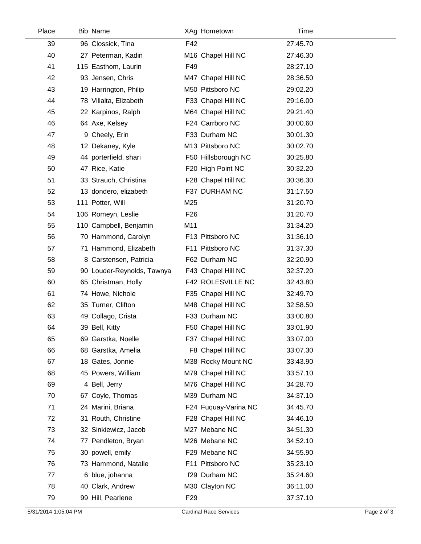| Place | Bib Name                   |                 | XAg Hometown                   | <b>Time</b> |  |
|-------|----------------------------|-----------------|--------------------------------|-------------|--|
| 39    | 96 Clossick, Tina          | F42             |                                | 27:45.70    |  |
| 40    | 27 Peterman, Kadin         |                 | M <sub>16</sub> Chapel Hill NC | 27:46.30    |  |
| 41    | 115 Easthom, Laurin        | F49             |                                | 28:27.10    |  |
| 42    | 93 Jensen, Chris           |                 | M47 Chapel Hill NC             | 28:36.50    |  |
| 43    | 19 Harrington, Philip      |                 | M50 Pittsboro NC               | 29:02.20    |  |
| 44    | 78 Villalta, Elizabeth     |                 | F33 Chapel Hill NC             | 29:16.00    |  |
| 45    | 22 Karpinos, Ralph         |                 | M64 Chapel Hill NC             | 29:21.40    |  |
| 46    | 64 Axe, Kelsey             |                 | F24 Carrboro NC                | 30:00.60    |  |
| 47    | 9 Cheely, Erin             |                 | F33 Durham NC                  | 30:01.30    |  |
| 48    | 12 Dekaney, Kyle           |                 | M13 Pittsboro NC               | 30:02.70    |  |
| 49    | 44 porterfield, shari      |                 | F50 Hillsborough NC            | 30:25.80    |  |
| 50    | 47 Rice, Katie             |                 | F20 High Point NC              | 30:32.20    |  |
| 51    | 33 Strauch, Christina      |                 | F28 Chapel Hill NC             | 30:36.30    |  |
| 52    | 13 dondero, elizabeth      |                 | F37 DURHAM NC                  | 31:17.50    |  |
| 53    | 111 Potter, Will           | M25             |                                | 31:20.70    |  |
| 54    | 106 Romeyn, Leslie         | F <sub>26</sub> |                                | 31:20.70    |  |
| 55    | 110 Campbell, Benjamin     | M11             |                                | 31:34.20    |  |
| 56    | 70 Hammond, Carolyn        |                 | F13 Pittsboro NC               | 31:36.10    |  |
| 57    | 71 Hammond, Elizabeth      |                 | F11 Pittsboro NC               | 31:37.30    |  |
| 58    | 8 Carstensen, Patricia     |                 | F62 Durham NC                  | 32:20.90    |  |
| 59    | 90 Louder-Reynolds, Tawnya |                 | F43 Chapel Hill NC             | 32:37.20    |  |
| 60    | 65 Christman, Holly        |                 | F42 ROLESVILLE NC              | 32:43.80    |  |
| 61    | 74 Howe, Nichole           |                 | F35 Chapel Hill NC             | 32:49.70    |  |
| 62    | 35 Turner, Clifton         |                 | M48 Chapel Hill NC             | 32:58.50    |  |
| 63    | 49 Collago, Crista         |                 | F33 Durham NC                  | 33:00.80    |  |
| 64    | 39 Bell, Kitty             |                 | F50 Chapel Hill NC             | 33:01.90    |  |
| 65    | 69 Garstka, Noelle         |                 | F37 Chapel Hill NC             | 33:07.00    |  |
| 66    | 68 Garstka, Amelia         |                 | F8 Chapel Hill NC              | 33:07.30    |  |
| 67    | 18 Gates, Jonnie           |                 | M38 Rocky Mount NC             | 33:43.90    |  |
| 68    | 45 Powers, William         |                 | M79 Chapel Hill NC             | 33:57.10    |  |
| 69    | 4 Bell, Jerry              |                 | M76 Chapel Hill NC             | 34:28.70    |  |
| 70    | 67 Coyle, Thomas           |                 | M39 Durham NC                  | 34:37.10    |  |
| 71    | 24 Marini, Briana          |                 | F24 Fuquay-Varina NC           | 34:45.70    |  |
| 72    | 31 Routh, Christine        |                 | F28 Chapel Hill NC             | 34:46.10    |  |
| 73    | 32 Sinkiewicz, Jacob       |                 | M27 Mebane NC                  | 34:51.30    |  |
| 74    | 77 Pendleton, Bryan        |                 | M26 Mebane NC                  | 34:52.10    |  |
| 75    | 30 powell, emily           |                 | F29 Mebane NC                  | 34:55.90    |  |
| 76    | 73 Hammond, Natalie        |                 | F11 Pittsboro NC               | 35:23.10    |  |
| 77    | 6 blue, johanna            |                 | f29 Durham NC                  | 35:24.60    |  |
| 78    | 40 Clark, Andrew           |                 | M30 Clayton NC                 | 36:11.00    |  |
| 79    | 99 Hill, Pearlene          | F <sub>29</sub> |                                | 37:37.10    |  |